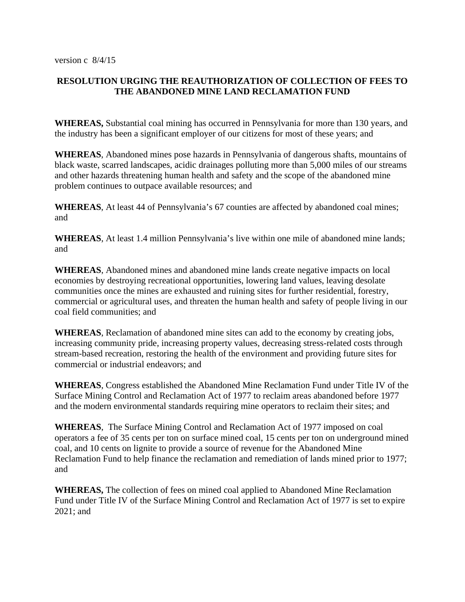## **RESOLUTION URGING THE REAUTHORIZATION OF COLLECTION OF FEES TO THE ABANDONED MINE LAND RECLAMATION FUND**

**WHEREAS,** Substantial coal mining has occurred in Pennsylvania for more than 130 years, and the industry has been a significant employer of our citizens for most of these years; and

**WHEREAS**, Abandoned mines pose hazards in Pennsylvania of dangerous shafts, mountains of black waste, scarred landscapes, acidic drainages polluting more than 5,000 miles of our streams and other hazards threatening human health and safety and the scope of the abandoned mine problem continues to outpace available resources; and

**WHEREAS**, At least 44 of Pennsylvania's 67 counties are affected by abandoned coal mines; and

**WHEREAS**, At least 1.4 million Pennsylvania's live within one mile of abandoned mine lands; and

**WHEREAS**, Abandoned mines and abandoned mine lands create negative impacts on local economies by destroying recreational opportunities, lowering land values, leaving desolate communities once the mines are exhausted and ruining sites for further residential, forestry, commercial or agricultural uses, and threaten the human health and safety of people living in our coal field communities; and

**WHEREAS**, Reclamation of abandoned mine sites can add to the economy by creating jobs, increasing community pride, increasing property values, decreasing stress-related costs through stream-based recreation, restoring the health of the environment and providing future sites for commercial or industrial endeavors; and

**WHEREAS**, Congress established the Abandoned Mine Reclamation Fund under Title IV of the Surface Mining Control and Reclamation Act of 1977 to reclaim areas abandoned before 1977 and the modern environmental standards requiring mine operators to reclaim their sites; and

**WHEREAS**, The Surface Mining Control and Reclamation Act of 1977 imposed on coal operators a fee of 35 cents per ton on surface mined coal, 15 cents per ton on underground mined coal, and 10 cents on lignite to provide a source of revenue for the Abandoned Mine Reclamation Fund to help finance the reclamation and remediation of lands mined prior to 1977; and

**WHEREAS,** The collection of fees on mined coal applied to Abandoned Mine Reclamation Fund under Title IV of the Surface Mining Control and Reclamation Act of 1977 is set to expire 2021; and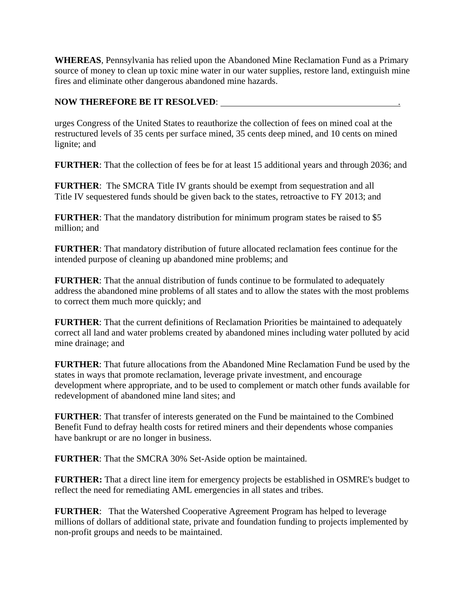**WHEREAS**, Pennsylvania has relied upon the Abandoned Mine Reclamation Fund as a Primary source of money to clean up toxic mine water in our water supplies, restore land, extinguish mine fires and eliminate other dangerous abandoned mine hazards.

## **NOW THEREFORE BE IT RESOLVED:**

urges Congress of the United States to reauthorize the collection of fees on mined coal at the restructured levels of 35 cents per surface mined, 35 cents deep mined, and 10 cents on mined lignite; and

**FURTHER**: That the collection of fees be for at least 15 additional years and through 2036; and

**FURTHER**: The SMCRA Title IV grants should be exempt from sequestration and all Title IV sequestered funds should be given back to the states, retroactive to FY 2013; and

**FURTHER:** That the mandatory distribution for minimum program states be raised to \$5 million; and

**FURTHER**: That mandatory distribution of future allocated reclamation fees continue for the intended purpose of cleaning up abandoned mine problems; and

**FURTHER**: That the annual distribution of funds continue to be formulated to adequately address the abandoned mine problems of all states and to allow the states with the most problems to correct them much more quickly; and

**FURTHER**: That the current definitions of Reclamation Priorities be maintained to adequately correct all land and water problems created by abandoned mines including water polluted by acid mine drainage; and

**FURTHER**: That future allocations from the Abandoned Mine Reclamation Fund be used by the states in ways that promote reclamation, leverage private investment, and encourage development where appropriate, and to be used to complement or match other funds available for redevelopment of abandoned mine land sites; and

**FURTHER**: That transfer of interests generated on the Fund be maintained to the Combined Benefit Fund to defray health costs for retired miners and their dependents whose companies have bankrupt or are no longer in business.

**FURTHER**: That the SMCRA 30% Set-Aside option be maintained.

**FURTHER:** That a direct line item for emergency projects be established in OSMRE's budget to reflect the need for remediating AML emergencies in all states and tribes.

**FURTHER**: That the Watershed Cooperative Agreement Program has helped to leverage millions of dollars of additional state, private and foundation funding to projects implemented by non-profit groups and needs to be maintained.